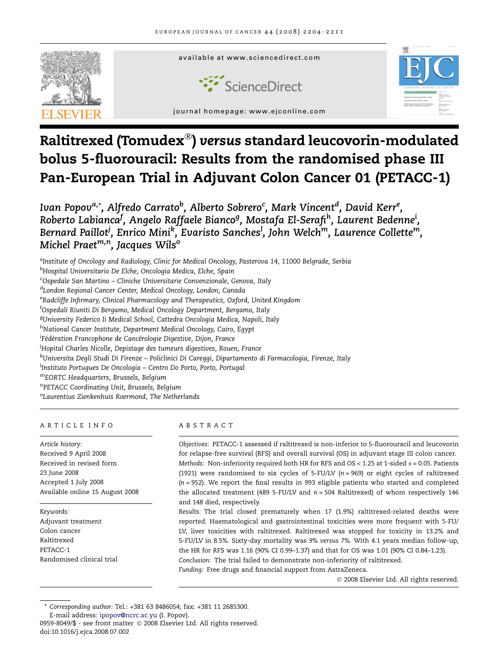

# Raltitrexed (Tomudex $^\circledast$ ) versus standard leucovorin-modulated bolus 5-fluorouracil: Results from the randomised phase III Pan-European Trial in Adjuvant Colon Cancer 01 (PETACC-1)

Ivan Popov<sup>a,</sup>\*, Alfredo Carrato<sup>b</sup>, Alberto Sobrero<sup>c</sup>, Mark Vincent<sup>d</sup>, David Kerr<sup>e</sup>, Roberto Labianca<sup>f</sup>, Angelo Raffaele Bianco<sup>g</sup>, Mostafa El-Serafi<sup>h</sup>, Laurent Bedenne<sup>i</sup>, Bernard Paillot<sup>j</sup>, Enrico Mini<sup>k</sup>, Evaristo Sanches<sup>l</sup>, John Welch<sup>m</sup>, Laurence Collette<sup>m</sup>, Michel Praet $^{m,n}$ , Jacques Wils<sup>o</sup>

<sup>a</sup>Institute of Oncology and Radiology, Clinic for Medical Oncology, Pasterova 14, 11000 Belgrade, Serbia <sup>b</sup>Hospital Universitario De Elche, Oncologia Medica, Elche, Spain <sup>c</sup>Ospedale San Martino – Cliniche Universitarie Convenzionale, Genova, Italy <sup>d</sup>London Regional Cancer Center, Medical Oncology, London, Canada <sup>e</sup>Radcliffe Infirmary, Clinical Pharmacology and Therapeutics, Oxford, United Kingdom <sup>f</sup>Ospedali Riuniti Di Bergamo, Medical Oncology Department, Bergamo, Italy <sup>g</sup>University Federico Ii Medical School, Cattedra Oncologia Medica, Napoli, Italy hNational Cancer Institute, Department Medical Oncology, Cairo, Egypt <sup>i</sup>Fédération Francophone de Cancérologie Digestive, Dijon, France <sup>j</sup>Hopital Charles Nicolle, Depistage des tumeurs digestives, Rouen, France <sup>k</sup>Universita Degli Studi Di Firenze – Policlinici Di Careggi, Dipartamento di Farmacologia, Firenze, Italy <sup>l</sup>Instituto Portugues De Oncologia – Centro Do Porto, Porto, Portugal <sup>m</sup>EORTC Headquarters, Brussels, Belgium n PETACC Coordinating Unit, Brussels, Belgium <sup>o</sup>Laurentius Zienkenhuis Roermond, The Netherlands

## ARTICLE INFO

Article history: Received 9 April 2008 Received in revised form 23 June 2008 Accepted 1 July 2008 Available online 15 August 2008

Keywords: Adjuvant treatment Colon cancer Raltitrexed PETACC-1 Randomised clinical trial

## ABSTRACT

Objectives: PETACC-1 assessed if raltitrexed is non-inferior to 5-fluorouracil and leucovorin for relapse-free survival (RFS) and overall survival (OS) in adjuvant stage III colon cancer. Methods: Non-inferiority required both HR for RFS and OS < 1.25 at 1-sided  $\alpha$  = 0.05. Patients (1921) were randomised to six cycles of 5-FU/LV ( $n = 969$ ) or eight cycles of raltitrexed  $(n = 952)$ . We report the final results in 993 eligible patients who started and completed the allocated treatment (489 5-FU/LV and  $n = 504$  Raltitrexed) of whom respectively 146 and 148 died, respectively.

Results: The trial closed prematurely when 17 (1.9%) raltitrexed-related deaths were reported. Haematological and gastrointestinal toxicities were more frequent with 5-FU/ LV, liver toxicities with raltitrexed. Raltitrexed was stopped for toxicity in 13.2% and 5-FU/LV in 8.5%. Sixty-day mortality was 9% versus 7%. With 4.1 years median follow-up, the HR for RFS was 1.16 (90% CI 0.99–1.37) and that for OS was 1.01 (90% CI 0.84–1.23). Conclusion: The trial failed to demonstrate non-inferiority of raltitrexed. Funding: Free drugs and financial support from AstraZeneca.

2008 Elsevier Ltd. All rights reserved.

Corresponding author: Tel.: +381 63 8486054; fax: +381 11 2685300.

E-mail address: [ipopov@ncrc.ac.yu](mailto:ipopov@ncrc.ac.yu) (I. Popov).

<sup>0959-8049/\$ -</sup> see front matter © 2008 Elsevier Ltd. All rights reserved. doi:10.1016/j.ejca.2008.07.002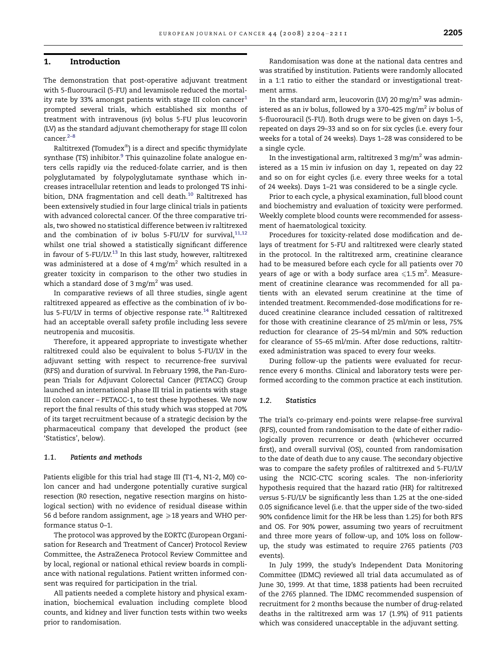## 1. Introduction

The demonstration that post-operative adjuvant treatment with 5-fluorouracil (5-FU) and levamisole reduced the mortality rate by 33% amongst patients with stage III colon cancer $1$ prompted several trials, which established six months of treatment with intravenous (iv) bolus 5-FU plus leucovorin (LV) as the standard adjuvant chemotherapy for stage III colon cancer.<sup>2-8</sup>

Raltitrexed (Tomudex $^\circledast$ ) is a direct and specific thymidylate synthase (TS) inhibitor.<sup>[9](#page-7-0)</sup> This quinazoline folate analogue enters cells rapidly via the reduced-folate carrier, and is then polyglutamated by folypolyglutamate synthase which increases intracellular retention and leads to prolonged TS inhibition, DNA fragmentation and cell death.<sup>10</sup> Raltitrexed has been extensively studied in four large clinical trials in patients with advanced colorectal cancer. Of the three comparative trials, two showed no statistical difference between iv raltitrexed and the combination of iv bolus 5-FU/LV for survival,  $11,12$ whilst one trial showed a statistically significant difference in favour of  $5$ -FU/LV.<sup>[13](#page-7-0)</sup> In this last study, however, raltitrexed was administered at a dose of 4 mg/m<sup>2</sup> which resulted in a greater toxicity in comparison to the other two studies in which a standard dose of  $3 \,\mathrm{mg/m^2}$  was used.

In comparative reviews of all three studies, single agent raltitrexed appeared as effective as the combination of iv bo-lus 5-FU/LV in terms of objective response rate.<sup>[14](#page-7-0)</sup> Raltitrexed had an acceptable overall safety profile including less severe neutropenia and mucositis.

Therefore, it appeared appropriate to investigate whether raltitrexed could also be equivalent to bolus 5-FU/LV in the adjuvant setting with respect to recurrence-free survival (RFS) and duration of survival. In February 1998, the Pan-European Trials for Adjuvant Colorectal Cancer (PETACC) Group launched an international phase III trial in patients with stage III colon cancer – PETACC-1, to test these hypotheses. We now report the final results of this study which was stopped at 70% of its target recruitment because of a strategic decision by the pharmaceutical company that developed the product (see 'Statistics', below).

#### 1.1. Patients and methods

Patients eligible for this trial had stage III (T1-4, N1-2, M0) colon cancer and had undergone potentially curative surgical resection (R0 resection, negative resection margins on histological section) with no evidence of residual disease within 56 d before random assignment, age  $\geqslant$  18 years and WHO performance status 0–1.

The protocol was approved by the EORTC (European Organisation for Research and Treatment of Cancer) Protocol Review Committee, the AstraZeneca Protocol Review Committee and by local, regional or national ethical review boards in compliance with national regulations. Patient written informed consent was required for participation in the trial.

All patients needed a complete history and physical examination, biochemical evaluation including complete blood counts, and kidney and liver function tests within two weeks prior to randomisation.

Randomisation was done at the national data centres and was stratified by institution. Patients were randomly allocated in a 1:1 ratio to either the standard or investigational treatment arms.

In the standard arm, leucovorin (LV) 20 mg/m<sup>2</sup> was administered as an iv bolus, followed by a 370–425 mg/m<sup>2</sup> iv bolus of 5-fluorouracil (5-FU). Both drugs were to be given on days 1–5, repeated on days 29–33 and so on for six cycles (i.e. every four weeks for a total of 24 weeks). Days 1–28 was considered to be a single cycle.

In the investigational arm, raltitrexed 3 mg/m<sup>2</sup> was administered as a 15 min iv infusion on day 1, repeated on day 22 and so on for eight cycles (i.e. every three weeks for a total of 24 weeks). Days 1–21 was considered to be a single cycle.

Prior to each cycle, a physical examination, full blood count and biochemistry and evaluation of toxicity were performed. Weekly complete blood counts were recommended for assessment of haematological toxicity.

Procedures for toxicity-related dose modification and delays of treatment for 5-FU and raltitrexed were clearly stated in the protocol. In the raltitrexed arm, creatinine clearance had to be measured before each cycle for all patients over 70 years of age or with a body surface area  ${\leqslant}1.5\ {\rm m}^2.$  Measurement of creatinine clearance was recommended for all patients with an elevated serum creatinine at the time of intended treatment. Recommended-dose modifications for reduced creatinine clearance included cessation of raltitrexed for those with creatinine clearance of 25 ml/min or less, 75% reduction for clearance of 25–54 ml/min and 50% reduction for clearance of 55–65 ml/min. After dose reductions, raltitrexed administration was spaced to every four weeks.

During follow-up the patients were evaluated for recurrence every 6 months. Clinical and laboratory tests were performed according to the common practice at each institution.

#### 1.2. Statistics

The trial's co-primary end-points were relapse-free survival (RFS), counted from randomisation to the date of either radiologically proven recurrence or death (whichever occurred first), and overall survival (OS), counted from randomisation to the date of death due to any cause. The secondary objective was to compare the safety profiles of raltitrexed and 5-FU/LV using the NCIC-CTC scoring scales. The non-inferiority hypothesis required that the hazard ratio (HR) for raltitrexed versus 5-FU/LV be significantly less than 1.25 at the one-sided 0.05 significance level (i.e. that the upper side of the two-sided 90% confidence limit for the HR be less than 1.25) for both RFS and OS. For 90% power, assuming two years of recruitment and three more years of follow-up, and 10% loss on followup, the study was estimated to require 2765 patients (703 events).

In July 1999, the study's Independent Data Monitoring Committee (IDMC) reviewed all trial data accumulated as of June 30, 1999. At that time, 1838 patients had been recruited of the 2765 planned. The IDMC recommended suspension of recruitment for 2 months because the number of drug-related deaths in the raltitrexed arm was 17 (1.9%) of 911 patients which was considered unacceptable in the adjuvant setting.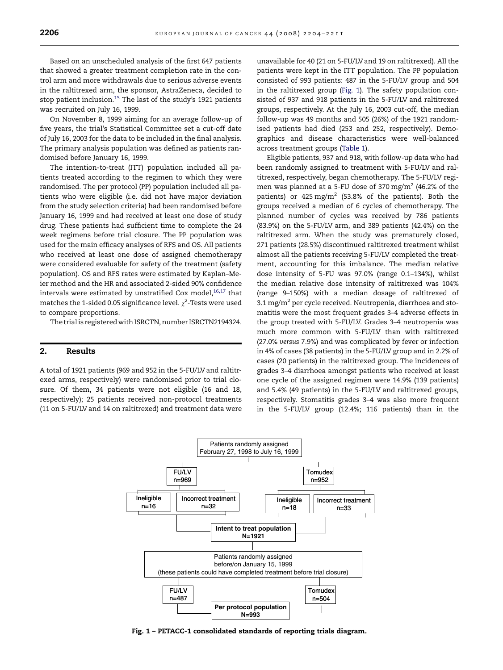Based on an unscheduled analysis of the first 647 patients that showed a greater treatment completion rate in the control arm and more withdrawals due to serious adverse events in the raltitrexed arm, the sponsor, AstraZeneca, decided to stop patient inclusion.<sup>[15](#page-7-0)</sup> The last of the study's 1921 patients was recruited on July 16, 1999.

On November 8, 1999 aiming for an average follow-up of five years, the trial's Statistical Committee set a cut-off date of July 16, 2003 for the data to be included in the final analysis. The primary analysis population was defined as patients randomised before January 16, 1999.

The intention-to-treat (ITT) population included all patients treated according to the regimen to which they were randomised. The per protocol (PP) population included all patients who were eligible (i.e. did not have major deviation from the study selection criteria) had been randomised before January 16, 1999 and had received at least one dose of study drug. These patients had sufficient time to complete the 24 week regimens before trial closure. The PP population was used for the main efficacy analyses of RFS and OS. All patients who received at least one dose of assigned chemotherapy were considered evaluable for safety of the treatment (safety population). OS and RFS rates were estimated by Kaplan–Meier method and the HR and associated 2-sided 90% confidence intervals were estimated by unstratified Cox model, $16,17$  that matches the 1-sided 0.05 significance level.  $\chi^2$ -Tests were used to compare proportions.

The trial is registeredwith ISRCTN, number ISRCTN2194324.

## 2. Results

A total of 1921 patients (969 and 952 in the 5-FU/LV and raltitrexed arms, respectively) were randomised prior to trial closure. Of them, 34 patients were not eligible (16 and 18, respectively); 25 patients received non-protocol treatments (11 on 5-FU/LV and 14 on raltitrexed) and treatment data were unavailable for 40 (21 on 5-FU/LV and 19 on raltitrexed). All the patients were kept in the ITT population. The PP population consisted of 993 patients: 487 in the 5-FU/LV group and 504 in the raltitrexed group (Fig. 1). The safety population consisted of 937 and 918 patients in the 5-FU/LV and raltitrexed groups, respectively. At the July 16, 2003 cut-off, the median follow-up was 49 months and 505 (26%) of the 1921 randomised patients had died (253 and 252, respectively). Demographics and disease characteristics were well-balanced across treatment groups [\(Table 1\)](#page-3-0).

Eligible patients, 937 and 918, with follow-up data who had been randomly assigned to treatment with 5-FU/LV and raltitrexed, respectively, began chemotherapy. The 5-FU/LV regimen was planned at a 5-FU dose of 370 mg/m2 (46.2% of the patients) or  $425 \text{ mg/m}^2$  (53.8% of the patients). Both the groups received a median of 6 cycles of chemotherapy. The planned number of cycles was received by 786 patients (83.9%) on the 5-FU/LV arm, and 389 patients (42.4%) on the raltitrexed arm. When the study was prematurely closed, 271 patients (28.5%) discontinued raltitrexed treatment whilst almost all the patients receiving 5-FU/LV completed the treatment, accounting for this imbalance. The median relative dose intensity of 5-FU was 97.0% (range 0.1–134%), whilst the median relative dose intensity of raltitrexed was 104% (range 9–150%) with a median dosage of raltitrexed of 3.1 mg/ $m^2$  per cycle received. Neutropenia, diarrhoea and stomatitis were the most frequent grades 3–4 adverse effects in the group treated with 5-FU/LV. Grades 3–4 neutropenia was much more common with 5-FU/LV than with raltitrexed (27.0% versus 7.9%) and was complicated by fever or infection in 4% of cases (38 patients) in the 5-FU/LV group and in 2.2% of cases (20 patients) in the raltitrexed group. The incidences of grades 3–4 diarrhoea amongst patients who received at least one cycle of the assigned regimen were 14.9% (139 patients) and 5.4% (49 patients) in the 5-FU/LV and raltitrexed groups, respectively. Stomatitis grades 3–4 was also more frequent in the 5-FU/LV group (12.4%; 116 patients) than in the



Fig. 1 – PETACC-1 consolidated standards of reporting trials diagram.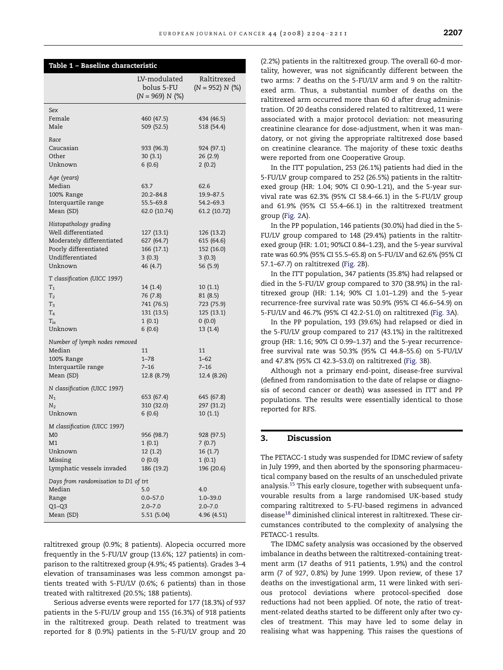<span id="page-3-0"></span>

| Table 1 - Baseline characteristic                                                                                                  |                                                                      |                                                                      |
|------------------------------------------------------------------------------------------------------------------------------------|----------------------------------------------------------------------|----------------------------------------------------------------------|
|                                                                                                                                    | LV-modulated<br>bolus 5-FU<br>$(N = 969) N$ (%)                      | Raltitrexed<br>$(N = 952) N$ (%)                                     |
| Sex<br>Female<br>Male                                                                                                              | 460 (47.5)<br>509 (52.5)                                             | 434 (46.5)<br>518 (54.4)                                             |
| Race<br>Caucasian<br>Other<br>Unknown                                                                                              | 933 (96.3)<br>30(3.1)<br>6(0.6)                                      | 924 (97.1)<br>26(2.9)<br>2(0.2)                                      |
| Age (years)<br>Median<br>100% Range<br>Interquartile range<br>Mean (SD)                                                            | 63.7<br>20.2–84.8<br>55.5-69.8<br>62.0 (10.74)                       | 62.6<br>19.9 - 87.5<br>54.2-69.3<br>61.2 (10.72)                     |
| Histopathology grading<br>Well differentiated<br>Moderately differentiated<br>Poorly differentiated<br>Undifferentiated<br>Unknown | 127(13.1)<br>627 (64.7)<br>166(17.1)<br>3(0.3)<br>46 (4.7)           | 126 (13.2)<br>615 (64.6)<br>152 (16.0)<br>3(0.3)<br>56 (5.9)         |
| T classification (UICC 1997)<br>$T_{1}$<br>T <sub>2</sub><br>$T_3$<br>T <sub>4</sub><br>$T_{is}$<br>Unknown                        | 14 (1.4)<br>76 (7.8)<br>741 (76.5)<br>131 (13.5)<br>1(0.1)<br>6(0.6) | 10(1.1)<br>81 (8.5)<br>723 (75.9)<br>125 (13.1)<br>(0.0)<br>13 (1.4) |
| Number of lymph nodes removed<br>Median<br>100% Range<br>Interquartile range<br>Mean (SD)                                          | 11<br>$1 - 78$<br>$7 - 16$<br>12.8 (8.79)                            | 11<br>$1 - 62$<br>$7 - 16$<br>12.4 (8.26)                            |
| N classification (UICC 1997)<br>$N_1$<br>$N_2$<br>Unknown                                                                          | 653 (67.4)<br>310 (32.0)<br>6(0.6)                                   | 645 (67.8)<br>297 (31.2)<br>10(1.1)                                  |
| M classification (UICC 1997)<br>M0<br>M1<br>Unknown<br>Missing<br>Lymphatic vessels invaded                                        | 956 (98.7)<br>1(0.1)<br>12(1.2)<br>(0.0)<br>186 (19.2)               | 928 (97.5)<br>7 (0.7)<br>16(1.7)<br>1(0.1)<br>196 (20.6)             |
| Days from randomisation to D1 of trt<br>Median<br>Range<br>$Q1 - Q3$<br>Mean (SD)                                                  | 5.0<br>$0.0 - 57.0$<br>$2.0 - 7.0$<br>5.51 (5.04)                    | 4.0<br>$1.0 - 39.0$<br>$2.0 - 7.0$<br>4.96 (4.51)                    |

raltitrexed group (0.9%; 8 patients). Alopecia occurred more frequently in the 5-FU/LV group (13.6%; 127 patients) in comparison to the raltitrexed group (4.9%; 45 patients). Grades 3–4 elevation of transaminases was less common amongst patients treated with 5-FU/LV (0.6%; 6 patients) than in those treated with raltitrexed (20.5%; 188 patients).

Serious adverse events were reported for 177 (18.3%) of 937 patients in the 5-FU/LV group and 155 (16.3%) of 918 patients in the raltitrexed group. Death related to treatment was reported for 8 (0.9%) patients in the 5-FU/LV group and 20 (2.2%) patients in the raltitrexed group. The overall 60-d mortality, however, was not significantly different between the two arms: 7 deaths on the 5-FU/LV arm and 9 on the raltitrexed arm. Thus, a substantial number of deaths on the raltitrexed arm occurred more than 60 d after drug administration. Of 20 deaths considered related to raltitrexed, 11 were associated with a major protocol deviation: not measuring creatinine clearance for dose-adjustment, when it was mandatory, or not giving the appropriate raltitrexed dose based on creatinine clearance. The majority of these toxic deaths were reported from one Cooperative Group.

In the ITT population, 253 (26.1%) patients had died in the 5-FU/LV group compared to 252 (26.5%) patients in the raltitrexed group (HR: 1.04; 90% CI 0.90–1.21), and the 5-year survival rate was 62.3% (95% CI 58.4–66.1) in the 5-FU/LV group and 61.9% (95% CI 55.4–66.1) in the raltitrexed treatment group ([Fig. 2A](#page-4-0)).

In the PP population, 146 patients (30.0%) had died in the 5- FU/LV group compared to 148 (29.4%) patients in the raltitrexed group (HR: 1.01; 90%CI 0.84–1.23), and the 5-year survival rate was 60.9% (95% CI 55.5–65.8) on 5-FU/LV and 62.6% (95% CI 57.1–67.7) on raltitrexed [\(Fig. 2B](#page-4-0)).

In the ITT population, 347 patients (35.8%) had relapsed or died in the 5-FU/LV group compared to 370 (38.9%) in the raltitrexed group (HR: 1.14; 90% CI 1.01–1.29) and the 5-year recurrence-free survival rate was 50.9% (95% CI 46.6–54.9) on 5-FU/LV and 46.7% (95% CI 42.2-51.0) on raltitrexed ([Fig. 3A](#page-5-0)).

In the PP population, 193 (39.6%) had relapsed or died in the 5-FU/LV group compared to 217 (43.1%) in the raltitrexed group (HR: 1.16; 90% CI 0.99–1.37) and the 5-year recurrencefree survival rate was 50.3% (95% CI 44.8–55.6) on 5-FU/LV and 47.8% (95% CI 42.3–53.0) on raltitrexed ([Fig. 3](#page-5-0)B).

Although not a primary end-point, disease-free survival (defined from randomisation to the date of relapse or diagnosis of second cancer or death) was assessed in ITT and PP populations. The results were essentially identical to those reported for RFS.

## 3. Discussion

The PETACC-1 study was suspended for IDMC review of safety in July 1999, and then aborted by the sponsoring pharmaceutical company based on the results of an unscheduled private analysis.[15](#page-7-0) This early closure, together with subsequent unfavourable results from a large randomised UK-based study comparing raltitrexed to 5-FU-based regimens in advanced disease<sup>[18](#page-7-0)</sup> diminished clinical interest in raltitrexed. These circumstances contributed to the complexity of analysing the PETACC-1 results.

The IDMC safety analysis was occasioned by the observed imbalance in deaths between the raltitrexed-containing treatment arm (17 deaths of 911 patients, 1.9%) and the control arm (7 of 927, 0.8%) by June 1999. Upon review, of these 17 deaths on the investigational arm, 11 were linked with serious protocol deviations where protocol-specified dose reductions had not been applied. Of note, the ratio of treatment-related deaths started to be different only after two cycles of treatment. This may have led to some delay in realising what was happening. This raises the questions of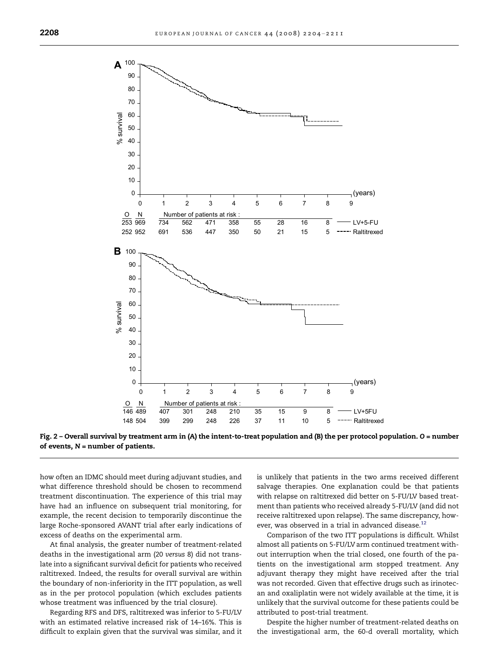<span id="page-4-0"></span>

Fig. 2 – Overall survival by treatment arm in (A) the intent-to-treat population and (B) the per protocol population. O = number of events,  $N =$  number of patients.

how often an IDMC should meet during adjuvant studies, and what difference threshold should be chosen to recommend treatment discontinuation. The experience of this trial may have had an influence on subsequent trial monitoring, for example, the recent decision to temporarily discontinue the large Roche-sponsored AVANT trial after early indications of excess of deaths on the experimental arm.

At final analysis, the greater number of treatment-related deaths in the investigational arm (20 versus 8) did not translate into a significant survival deficit for patients who received raltitrexed. Indeed, the results for overall survival are within the boundary of non-inferiority in the ITT population, as well as in the per protocol population (which excludes patients whose treatment was influenced by the trial closure).

Regarding RFS and DFS, raltitrexed was inferior to 5-FU/LV with an estimated relative increased risk of 14–16%. This is difficult to explain given that the survival was similar, and it is unlikely that patients in the two arms received different salvage therapies. One explanation could be that patients with relapse on raltitrexed did better on 5-FU/LV based treatment than patients who received already 5-FU/LV (and did not receive raltitrexed upon relapse). The same discrepancy, how-ever, was observed in a trial in advanced disease.<sup>[12](#page-7-0)</sup>

Comparison of the two ITT populations is difficult. Whilst almost all patients on 5-FU/LV arm continued treatment without interruption when the trial closed, one fourth of the patients on the investigational arm stopped treatment. Any adjuvant therapy they might have received after the trial was not recorded. Given that effective drugs such as irinotecan and oxaliplatin were not widely available at the time, it is unlikely that the survival outcome for these patients could be attributed to post-trial treatment.

Despite the higher number of treatment-related deaths on the investigational arm, the 60-d overall mortality, which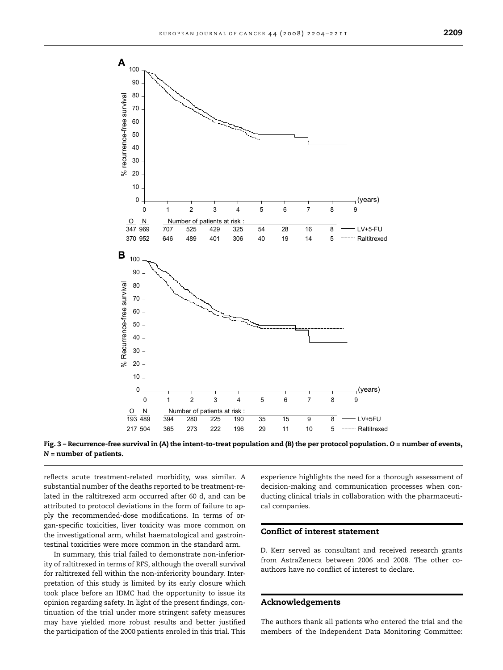<span id="page-5-0"></span>



reflects acute treatment-related morbidity, was similar. A substantial number of the deaths reported to be treatment-related in the raltitrexed arm occurred after 60 d, and can be attributed to protocol deviations in the form of failure to apply the recommended-dose modifications. In terms of organ-specific toxicities, liver toxicity was more common on the investigational arm, whilst haematological and gastrointestinal toxicities were more common in the standard arm.

In summary, this trial failed to demonstrate non-inferiority of raltitrexed in terms of RFS, although the overall survival for raltitrexed fell within the non-inferiority boundary. Interpretation of this study is limited by its early closure which took place before an IDMC had the opportunity to issue its opinion regarding safety. In light of the present findings, continuation of the trial under more stringent safety measures may have yielded more robust results and better justified the participation of the 2000 patients enroled in this trial. This experience highlights the need for a thorough assessment of decision-making and communication processes when conducting clinical trials in collaboration with the pharmaceutical companies.

## Conflict of interest statement

D. Kerr served as consultant and received research grants from AstraZeneca between 2006 and 2008. The other coauthors have no conflict of interest to declare.

### Acknowledgements

The authors thank all patients who entered the trial and the members of the Independent Data Monitoring Committee: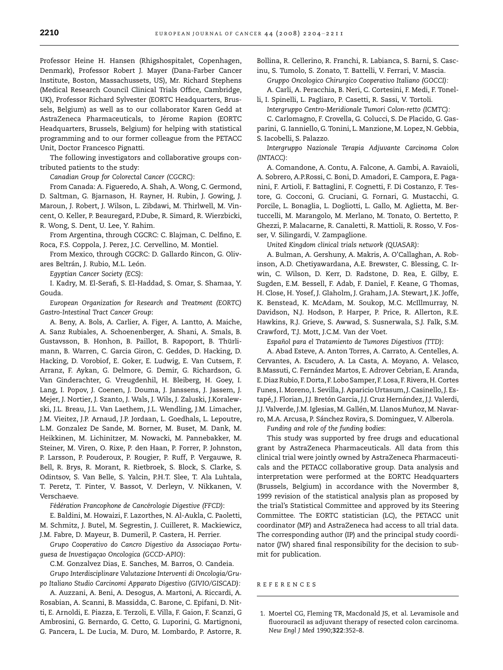<span id="page-6-0"></span>Professor Heine H. Hansen (Rhigshospitalet, Copenhagen, Denmark), Professor Robert J. Mayer (Dana-Farber Cancer Institute, Boston, Massachussets, US), Mr. Richard Stephens (Medical Research Council Clinical Trials Office, Cambridge, UK), Professor Richard Sylvester (EORTC Headquarters, Brussels, Belgium) as well as to our collaborator Karen Gedd at AstraZeneca Pharmaceuticals, to Jérome Rapion (EORTC Headquarters, Brussels, Belgium) for helping with statistical programming and to our former colleague from the PETACC Unit, Doctor Francesco Pignatti.

The following investigators and collaborative groups contributed patients to the study:

Canadian Group for Colorectal Cancer (CGCRC):

From Canada: A. Figueredo, A. Shah, A. Wong, C. Germond, D. Saltman, G. Bjarnason, H. Rayner, H. Rubin, J. Gowing, J. Maroun, J. Robert, J. Wilson, L. Zibdawi, M. Thirlwell, M. Vincent, O. Keller, P. Beauregard, P.Dube, R. Simard, R. Wierzbicki, R. Wong, S. Dent, U. Lee, Y. Rahim.

From Argentina, through CGCRC: C. Blajman, C. Delfino, E. Roca, F.S. Coppola, J. Perez, J.C. Cervellino, M. Montiel.

From Mexico, through CGCRC: D. Gallardo Rincon, G. Olivares Beltrán, J. Rubio, M.L. León.

Egyptian Cancer Society (ECS):

I. Kadry, M. El-Serafi, S. El-Haddad, S. Omar, S. Shamaa, Y. Gouda.

European Organization for Research and Treatment (EORTC) Gastro-Intestinal Tract Cancer Group:

A. Beny, A. Bols, A. Carlier, A. Figer, A. Lantto, A. Maiche, A. Sanz Rubiales, A. Schoenenberger, A. Shani, A. Smals, B. Gustavsson, B. Honhon, B. Paillot, B. Rapoport, B. Thürlimann, B. Warren, C. Garcia Giron, C. Geddes, D. Hacking, D. Hacking, D. Vorobiof, E. Goker, E. Ludwig, E. Van Cutsem, F. Arranz, F. Aykan, G. Delmore, G. Demir, G. Richardson, G. Van Ginderachter, G. Vreugdenhil, H. Bleiberg, H. Goey, I. Lang, I. Popov, J. Coenen, J. Douma, J. Janssens, J. Jassem, J. Mejer, J. Nortier, J. Szanto, J. Wals, J. Wils, J. Zaluski, J.Koralewski, J.L. Breau, J.L. Van Laethem, J.L. Wendling, J.M. Limacher, J.M. Vieitez, J.P. Arnaud, J.P. Jordaan, L. Goedhals, L. Lepoutre, L.M. Gonzalez De Sande, M. Borner, M. Buset, M. Dank, M. Heikkinen, M. Lichinitzer, M. Nowacki, M. Pannebakker, M. Steiner, M. Viren, O. Rixe, P. den Haan, P. Forrer, P. Johnston, P. Larsson, P. Pouderoux, P. Rougier, P. Ruff, P. Vergauwe, R. Bell, R. Brys, R. Morant, R. Rietbroek, S. Block, S. Clarke, S. Odintsov, S. Van Belle, S. Yalcin, P.H.T. Slee, T. Ala Luhtala, T. Peretz, T. Pinter, V. Bassot, V. Derleyn, V. Nikkanen, V. Verschaeve.

Fédération Francophone de Cancérologie Digestive (FFCD):

E. Baldini, M. Howaizi, F. Lazorthes, N. Al-Aukla, C. Paoletti, M. Schmitz, J. Butel, M. Segrestin, J. Cuilleret, R. Mackiewicz, J.M. Fabre, D. Mayeur, B. Dumeril, P. Castera, H. Perrier.

Grupo Cooperativo do Cancro Digestivo da Associaçao Portuguesa de Investigação Oncologica (GCCD-APIO):

C.M. Gonzalvez Dias, E. Sanches, M. Barros, O. Candeia. Grupo Interdisciplinare Valutazione Interventi di Oncologia/Gru-

po Italiano Studio Carcinomi Apparato Digestivo (GIVIO/GISCAD): A. Auzzani, A. Beni, A. Desogus, A. Martoni, A. Riccardi, A.

Rosabian, A. Scanni, B. Massidda, C. Barone, C. Epifani, D. Nitti, E. Arnoldi, E. Piazza, E. Terzoli, E. Villa, F. Gaion, F. Scanzi, G Ambrosini, G. Bernardo, G. Cetto, G. Luporini, G. Martignoni, G. Pancera, L. De Lucia, M. Duro, M. Lombardo, P. Astorre, R.

Bollina, R. Cellerino, R. Franchi, R. Labianca, S. Barni, S. Cascinu, S. Tumolo, S. Zonato, T. Battelli, V. Ferrari, V. Mascia.

Gruppo Oncologico Chirurgico Cooperativo Italiano (GOCCI): A. Carli, A. Peracchia, B. Neri, C. Cortesini, F. Medi, F. Tonel-

li, I. Spinelli, L. Pagliaro, P. Casetti, R. Sassi, V. Tortoli.

Intergruppo Centro-Meridionale Tumori Colon-retto (ICMTC):

C. Carlomagno, F. Crovella, G. Colucci, S. De Placido, G. Gasparini, G. Ianniello, G. Tonini, L. Manzione, M. Lopez, N. Gebbia, S. Iacobelli, S. Palazzo.

Intergruppo Nazionale Terapia Adjuvante Carcinoma Colon (INTACC):

A. Comandone, A. Contu, A. Falcone, A. Gambi, A. Ravaioli, A. Sobrero, A.P.Rossi, C. Boni, D. Amadori, E. Campora, E. Paganini, F. Artioli, F. Battaglini, F. Cognetti, F. Di Costanzo, F. Testore, G. Cocconi, G. Cruciani, G. Fornari, G. Mustacchi, G. Porcile, L. Bonaglia, L. Dogliotti, L. Gallo, M. Aglietta, M. Bertuccelli, M. Marangolo, M. Merlano, M. Tonato, O. Bertetto, P. Ghezzi, P. Malacarne, R. Canaletti, R. Mattioli, R. Rosso, V. Fosser, V. Silingardi, V. Zampaglione.

United Kingdom clinical trials network (QUASAR):

A. Bulman, A. Gershuny, A. Makris, A. O'Callaghan, A. Robinson, A.D. Chetiyawardana, A.E. Brewster, C. Blessing, C. Irwin, C. Wilson, D. Kerr, D. Radstone, D. Rea, E. Gilby, E. Sugden, E.M. Bessell, F. Adab, F. Daniel, F. Keane, G Thomas, H. Close, H. Yosef, J. Glaholm, J. Graham, J.A. Stewart, J.K. Joffe, K. Benstead, K. McAdam, M. Soukop, M.C. McIllmurray, N. Davidson, N.J. Hodson, P. Harper, P. Price, R. Allerton, R.E. Hawkins, R.J. Grieve, S. Awwad, S. Susnerwala, S.J. Falk, S.M. Crawford, T.J. Mott, J.C.M. Van der Voet.

Español para el Tratamiento de Tumores Digestivos (TTD):

A. Abad Esteve, A. Anton Torres, A. Carrato, A. Centelles, A. Cervantes, A. Escudero, A. La Casta, A. Moyano, A. Velasco, B.Massuti, C. Fernández Martos, E. Adrover Cebrian, E. Aranda, E. Diaz Rubio, F. Dorta, F. Lobo Samper, F. Losa, F. Rivera, H. Cortes Funes, I.Moreno, I. Sevilla, J. Aparicio Urtasum, J. Casinello, J. Estapé, J. Florian, J.J. Bretón Garcia, J.J. Cruz Hernández, J.J. Valerdi, J.J. Valverde, J.M. Iglesias, M. Gallén, M. Llanos Muñoz, M. Navarro, M.A. Arcusa, P. Sánchez Rovira, S. Dominguez, V. Alberola.

Funding and role of the funding bodies:

This study was supported by free drugs and educational grant by AstraZeneca Pharmaceuticals. All data from this clinical trial were jointly owned by AstraZeneca Pharmaceuticals and the PETACC collaborative group. Data analysis and interpretation were performed at the EORTC Headquarters (Brussels, Belgium) in accordance with the Novermber 8, 1999 revision of the statistical analysis plan as proposed by the trial's Statistical Committee and approved by its Steering Committee. The EORTC statistician (LC), the PETACC unit coordinator (MP) and AstraZeneca had access to all trial data. The corresponding author (IP) and the principal study coordinator (JW) shared final responsibility for the decision to submit for publication.

REFERENCES

<sup>1.</sup> Moertel CG, Fleming TR, Macdonald JS, et al. Levamisole and fluorouracil as adjuvant therapy of resected colon carcinoma. New Engl J Med 1990;322:352–8.